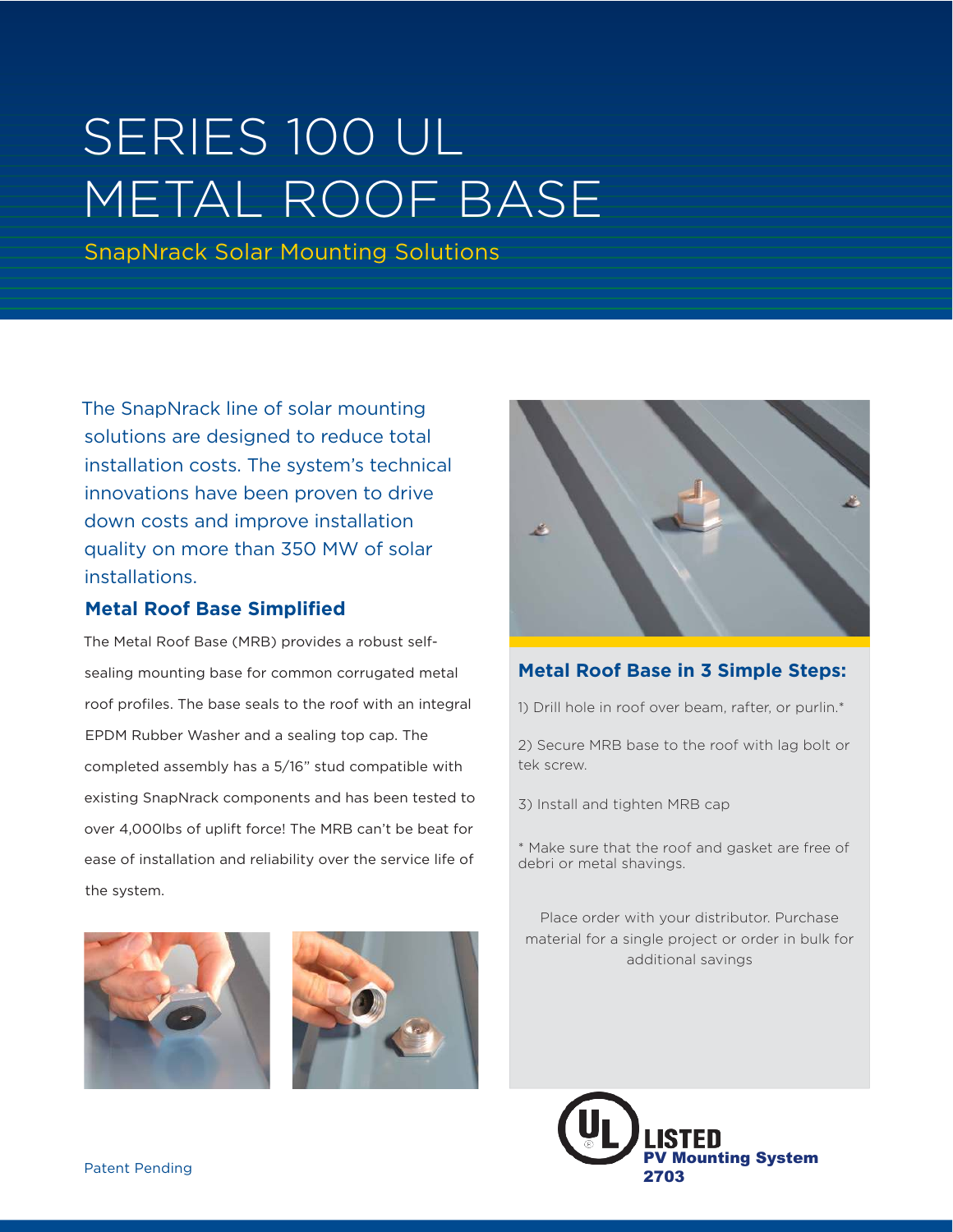# SERIES 100 UL METAL ROOF BASE

SnapNrack Solar Mounting Solutions

The SnapNrack line of solar mounting solutions are designed to reduce total installation costs. The system's technical innovations have been proven to drive down costs and improve installation quality on more than 350 MW of solar installations.

### **Metal Roof Base Simplified**

The Metal Roof Base (MRB) provides a robust selfsealing mounting base for common corrugated metal roof profiles. The base seals to the roof with an integral EPDM Rubber Washer and a sealing top cap. The completed assembly has a 5/16" stud compatible with existing SnapNrack components and has been tested to over 4,000lbs of uplift force! The MRB can't be beat for ease of installation and reliability over the service life of the system.



### **Metal Roof Base in 3 Simple Steps:**

1) Drill hole in roof over beam, rafter, or purlin.\*

2) Secure MRB base to the roof with lag bolt or tek screw.

3) Install and tighten MRB cap

\* Make sure that the roof and gasket are free of debri or metal shavings.

Place order with your distributor. Purchase material for a single project or order in bulk for additional savings